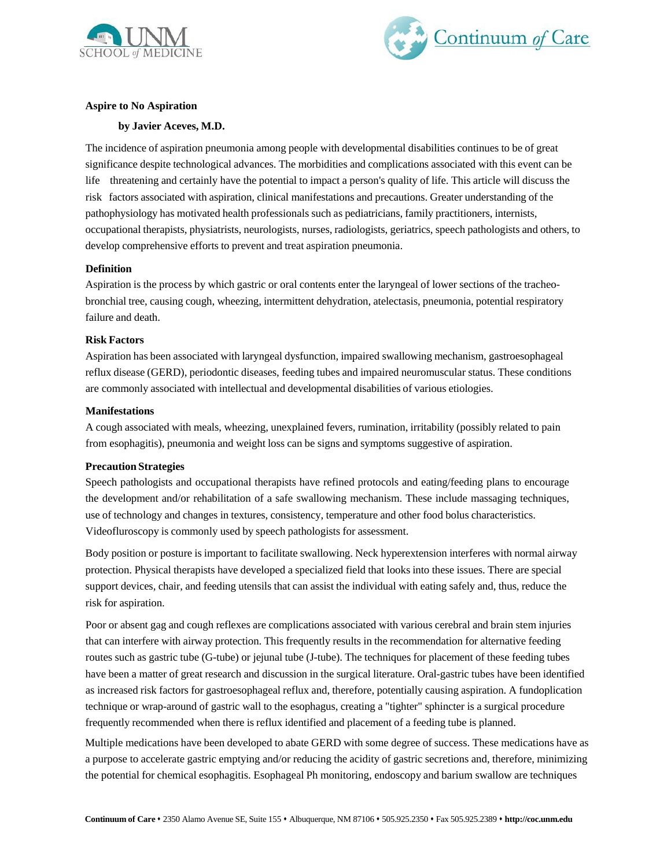



# **Aspire to No Aspiration**

# **by Javier Aceves, M.D.**

The incidence of aspiration pneumonia among people with developmental disabilities continues to be of great significance despite technological advances. The morbidities and complications associated with this event can be life threatening and certainly have the potential to impact a person's quality of life. This article will discuss the risk factors associated with aspiration, clinical manifestations and precautions. Greater understanding of the pathophysiology has motivated health professionals such as pediatricians, family practitioners, internists, occupational therapists, physiatrists, neurologists, nurses, radiologists, geriatrics, speech pathologists and others, to develop comprehensive efforts to prevent and treat aspiration pneumonia.

### **Definition**

Aspiration is the process by which gastric or oral contents enter the laryngeal of lower sections of the tracheobronchial tree, causing cough, wheezing, intermittent dehydration, atelectasis, pneumonia, potential respiratory failure and death.

### **Risk Factors**

Aspiration has been associated with laryngeal dysfunction, impaired swallowing mechanism, gastroesophageal reflux disease (GERD), periodontic diseases, feeding tubes and impaired neuromuscular status. These conditions are commonly associated with intellectual and developmental disabilities of various etiologies.

#### **Manifestations**

A cough associated with meals, wheezing, unexplained fevers, rumination, irritability (possibly related to pain from esophagitis), pneumonia and weight loss can be signs and symptoms suggestive of aspiration.

# **Precaution Strategies**

Speech pathologists and occupational therapists have refined protocols and eating/feeding plans to encourage the development and/or rehabilitation of a safe swallowing mechanism. These include massaging techniques, use of technology and changes in textures, consistency, temperature and other food bolus characteristics. Videofluroscopy is commonly used by speech pathologists for assessment.

Body position or posture is important to facilitate swallowing. Neck hyperextension interferes with normal airway protection. Physical therapists have developed a specialized field that looks into these issues. There are special support devices, chair, and feeding utensils that can assist the individual with eating safely and, thus, reduce the risk for aspiration.

Poor or absent gag and cough reflexes are complications associated with various cerebral and brain stem injuries that can interfere with airway protection. This frequently results in the recommendation for alternative feeding routes such as gastric tube (G-tube) or jejunal tube (J-tube). The techniques for placement of these feeding tubes have been a matter of great research and discussion in the surgical literature. Oral-gastric tubes have been identified as increased risk factors for gastroesophageal reflux and, therefore, potentially causing aspiration. A fundoplication technique or wrap-around of gastric wall to the esophagus, creating a "tighter" sphincter is a surgical procedure frequently recommended when there is reflux identified and placement of a feeding tube is planned.

Multiple medications have been developed to abate GERD with some degree of success. These medications have as a purpose to accelerate gastric emptying and/or reducing the acidity of gastric secretions and, therefore, minimizing the potential for chemical esophagitis. Esophageal Ph monitoring, endoscopy and barium swallow are techniques